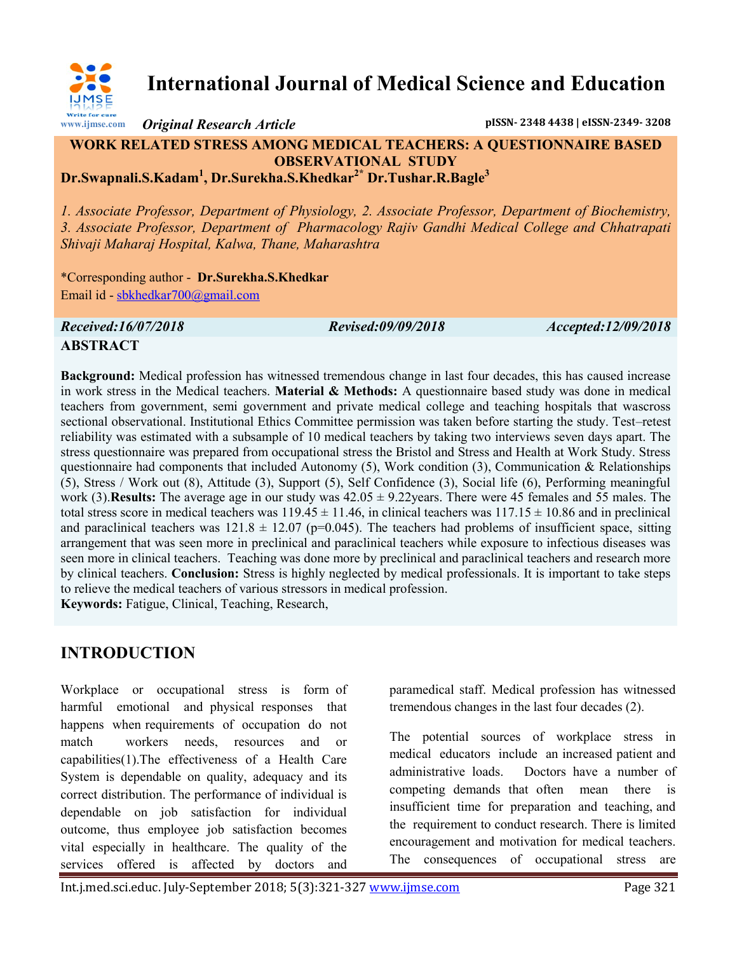

# **International Journal of Medical Science and Education**

*Original Research Article* **pISSN- 2348 4438 | eISSN-2349- 3208**

#### **WORK RELATED STRESS AMONG MEDICAL TEACHERS: A QUESTIONNAIRE BASED OBSERVATIONAL STUDY Dr.Swapnali.S.Kadam<sup>1</sup> , Dr.Surekha.S.Khedkar2\* Dr.Tushar.R.Bagle<sup>3</sup>**

*1. Associate Professor, Department of Physiology, 2. Associate Professor, Department of Biochemistry, 3. Associate Professor, Department of Pharmacology Rajiv Gandhi Medical College and Chhatrapati Shivaji Maharaj Hospital, Kalwa, Thane, Maharashtra*

\*Corresponding author - **Dr.Surekha.S.Khedkar** Email id - [sbkhedkar700@gmail.com](mailto:sbkhedkar700@gmail.com)

*Received:16/07/2018 Revised:09/09/2018 Accepted:12/09/2018*

# **ABSTRACT**

**Background:** Medical profession has witnessed tremendous change in last four decades, this has caused increase in work stress in the Medical teachers. **Material & Methods:** A questionnaire based study was done in medical teachers from government, semi government and private medical college and teaching hospitals that wascross sectional observational. Institutional Ethics Committee permission was taken before starting the study. Test–retest reliability was estimated with a subsample of 10 medical teachers by taking two interviews seven days apart. The stress questionnaire was prepared from occupational stress the Bristol and Stress and Health at Work Study. Stress questionnaire had components that included Autonomy (5), Work condition (3), Communication & Relationships (5), Stress / Work out (8), Attitude (3), Support (5), Self Confidence (3), Social life (6), Performing meaningful work (3).**Results:** The average age in our study was 42.05 ± 9.22years. There were 45 females and 55 males. The total stress score in medical teachers was  $119.45 \pm 11.46$ , in clinical teachers was  $117.15 \pm 10.86$  and in preclinical and paraclinical teachers was  $121.8 \pm 12.07$  (p=0.045). The teachers had problems of insufficient space, sitting arrangement that was seen more in preclinical and paraclinical teachers while exposure to infectious diseases was seen more in clinical teachers. Teaching was done more by preclinical and paraclinical teachers and research more by clinical teachers. **Conclusion:** Stress is highly neglected by medical professionals. It is important to take steps to relieve the medical teachers of various stressors in medical profession.

**Keywords:** Fatigue, Clinical, Teaching, Research,

# **INTRODUCTION**

Workplace or occupational stress is form of harmful emotional and physical responses that happens when requirements of occupation do not match workers needs, resources and or capabilities(1).The effectiveness of a Health Care System is dependable on quality, adequacy and its correct distribution. The performance of individual is dependable on job satisfaction for individual outcome, thus employee job satisfaction becomes vital especially in healthcare. The quality of the services offered is affected by doctors and

paramedical staff. Medical profession has witnessed tremendous changes in the last four decades (2).

The potential sources of workplace stress in medical educators include an increased patient and administrative loads. Doctors have a number of competing demands that often mean there is insufficient time for preparation and teaching, and the requirement to conduct research. There is limited encouragement and motivation for medical teachers. The consequences of occupational stress are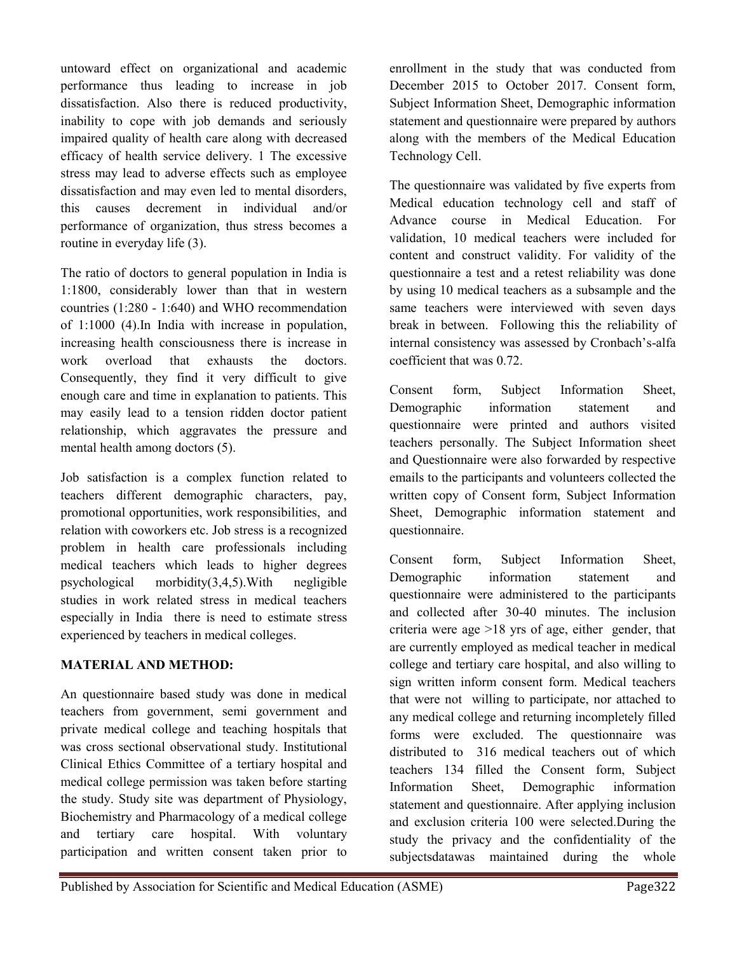The ratio of doctors to general population in India is 1:1800, considerably lower than that in western countries (1:280 - 1:640) and WHO recommendation of 1:1000 (4).In India with increase in population, increasing health consciousness there is increase in work overload that exhausts the doctors. Consequently, they find it very difficult to give enough care and time in explanation to patients. This may easily lead to a tension ridden doctor patient

relationship, which aggravates the pressure and

routine in everyday life (3).

untoward effect on organizational and academic performance thus leading to increase in job dissatisfaction. Also there is reduced productivity, inability to cope with job demands and seriously impaired quality of health care along with decreased efficacy of health service delivery. 1 The excessive stress may lead to adverse effects such as employee dissatisfaction and may even led to mental disorders, this causes decrement in individual and/or performance of organization, thus stress becomes a

Job satisfaction is a complex function related to teachers different demographic characters, pay, promotional opportunities, work responsibilities, and relation with coworkers etc. Job stress is a recognized problem in health care professionals including medical teachers which leads to higher degrees psychological morbidity(3,4,5).With negligible studies in work related stress in medical teachers especially in India there is need to estimate stress experienced by teachers in medical colleges.

# **MATERIAL AND METHOD:**

mental health among doctors (5).

An questionnaire based study was done in medical teachers from government, semi government and private medical college and teaching hospitals that was cross sectional observational study. Institutional Clinical Ethics Committee of a tertiary hospital and medical college permission was taken before starting the study. Study site was department of Physiology, Biochemistry and Pharmacology of a medical college and tertiary care hospital. With voluntary participation and written consent taken prior to

enrollment in the study that was conducted from December 2015 to October 2017. Consent form, Subject Information Sheet, Demographic information statement and questionnaire were prepared by authors along with the members of the Medical Education Technology Cell.

The questionnaire was validated by five experts from Medical education technology cell and staff of Advance course in Medical Education. For validation, 10 medical teachers were included for content and construct validity. For validity of the questionnaire a test and a retest reliability was done by using 10 medical teachers as a subsample and the same teachers were interviewed with seven days break in between. Following this the reliability of internal consistency was assessed by Cronbach's-alfa coefficient that was 0.72.

Consent form, Subject Information Sheet, Demographic information statement and questionnaire were printed and authors visited teachers personally. The Subject Information sheet and Questionnaire were also forwarded by respective emails to the participants and volunteers collected the written copy of Consent form, Subject Information Sheet, Demographic information statement and questionnaire.

Consent form, Subject Information Sheet, Demographic information statement and questionnaire were administered to the participants and collected after 30-40 minutes. The inclusion criteria were age >18 yrs of age, either gender, that are currently employed as medical teacher in medical college and tertiary care hospital, and also willing to sign written inform consent form. Medical teachers that were not willing to participate, nor attached to any medical college and returning incompletely filled forms were excluded. The questionnaire was distributed to 316 medical teachers out of which teachers 134 filled the Consent form, Subject Information Sheet, Demographic information statement and questionnaire. After applying inclusion and exclusion criteria 100 were selected.During the study the privacy and the confidentiality of the subjectsdatawas maintained during the whole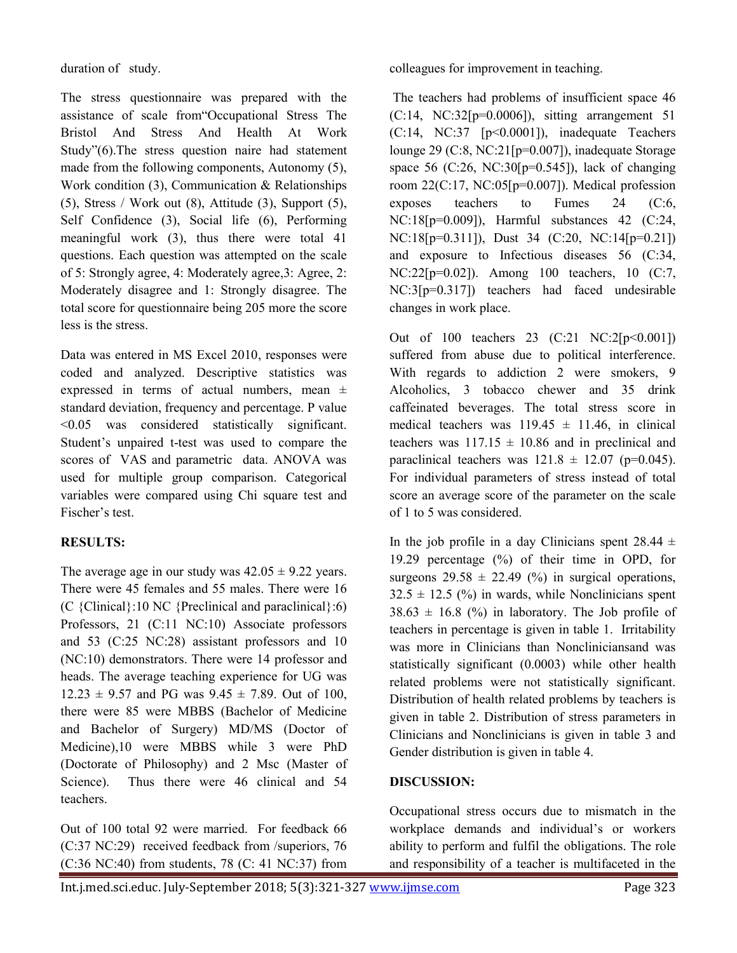duration of study.

The stress questionnaire was prepared with the assistance of scale from"Occupational Stress The Bristol And Stress And Health At Work Study"(6).The stress question naire had statement made from the following components, Autonomy (5), Work condition (3), Communication & Relationships (5), Stress / Work out (8), Attitude (3), Support (5), Self Confidence (3), Social life (6), Performing meaningful work (3), thus there were total 41 questions. Each question was attempted on the scale of 5: Strongly agree, 4: Moderately agree,3: Agree, 2: Moderately disagree and 1: Strongly disagree. The total score for questionnaire being 205 more the score less is the stress.

Data was entered in MS Excel 2010, responses were coded and analyzed. Descriptive statistics was expressed in terms of actual numbers, mean ± standard deviation, frequency and percentage. P value <0.05 was considered statistically significant. Student's unpaired t-test was used to compare the scores of VAS and parametric data. ANOVA was used for multiple group comparison. Categorical variables were compared using Chi square test and Fischer's test.

#### **RESULTS:**

The average age in our study was  $42.05 \pm 9.22$  years. There were 45 females and 55 males. There were 16 (C {Clinical}:10 NC {Preclinical and paraclinical}:6) Professors, 21 (C:11 NC:10) Associate professors and 53 (C:25 NC:28) assistant professors and 10 (NC:10) demonstrators. There were 14 professor and heads. The average teaching experience for UG was  $12.23 \pm 9.57$  and PG was  $9.45 \pm 7.89$ . Out of 100, there were 85 were MBBS (Bachelor of Medicine and Bachelor of Surgery) MD/MS (Doctor of Medicine),10 were MBBS while 3 were PhD (Doctorate of Philosophy) and 2 Msc (Master of Science). Thus there were 46 clinical and 54 teachers.

Out of 100 total 92 were married. For feedback 66 (C:37 NC:29) received feedback from /superiors, 76 (C:36 NC:40) from students, 78 (C: 41 NC:37) from colleagues for improvement in teaching.

The teachers had problems of insufficient space 46  $(C:14, NC:32[p=0.0006])$ , sitting arrangement 51 (C:14, NC:37 [p<0.0001]), inadequate Teachers lounge 29 (C:8, NC:21[p=0.007]), inadequate Storage space 56 (C:26, NC:30[p=0.545]), lack of changing room 22(C:17, NC:05[p=0.007]). Medical profession exposes teachers to Fumes 24 (C:6, NC:18[p=0.009]), Harmful substances 42 (C:24, NC:18[p=0.311]), Dust 34 (C:20, NC:14[p=0.21]) and exposure to Infectious diseases 56 (C:34, NC:22[p=0.02]). Among 100 teachers, 10 (C:7, NC:3[p=0.317]) teachers had faced undesirable changes in work place.

Out of 100 teachers 23 (C:21 NC:2[p<0.001]) suffered from abuse due to political interference. With regards to addiction 2 were smokers, 9 Alcoholics, 3 tobacco chewer and 35 drink caffeinated beverages. The total stress score in medical teachers was  $119.45 \pm 11.46$ , in clinical teachers was  $117.15 \pm 10.86$  and in preclinical and paraclinical teachers was  $121.8 \pm 12.07$  (p=0.045). For individual parameters of stress instead of total score an average score of the parameter on the scale of 1 to 5 was considered.

In the job profile in a day Clinicians spent  $28.44 \pm$ 19.29 percentage (%) of their time in OPD, for surgeons  $29.58 \pm 22.49$  (%) in surgical operations,  $32.5 \pm 12.5$  (%) in wards, while Nonclinicians spent  $38.63 \pm 16.8$  (%) in laboratory. The Job profile of teachers in percentage is given in table 1. Irritability was more in Clinicians than Noncliniciansand was statistically significant (0.0003) while other health related problems were not statistically significant. Distribution of health related problems by teachers is given in table 2. Distribution of stress parameters in Clinicians and Nonclinicians is given in table 3 and Gender distribution is given in table 4.

#### **DISCUSSION:**

Occupational stress occurs due to mismatch in the workplace demands and individual's or workers ability to perform and fulfil the obligations. The role and responsibility of a teacher is multifaceted in the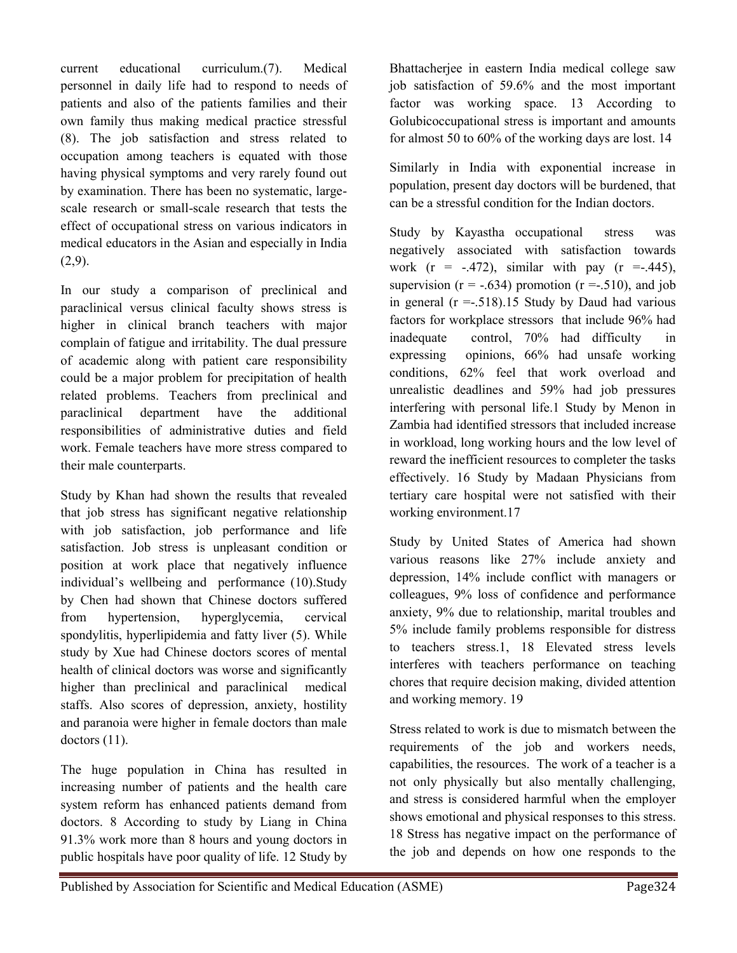current educational curriculum.(7). Medical personnel in daily life had to respond to needs of patients and also of the patients families and their own family thus making medical practice stressful (8). The job satisfaction and stress related to occupation among teachers is equated with those having physical symptoms and very rarely found out by examination. There has been no systematic, largescale research or small-scale research that tests the effect of occupational stress on various indicators in medical educators in the Asian and especially in India  $(2,9)$ .

In our study a comparison of preclinical and paraclinical versus clinical faculty shows stress is higher in clinical branch teachers with major complain of fatigue and irritability. The dual pressure of academic along with patient care responsibility could be a major problem for precipitation of health related problems. Teachers from preclinical and paraclinical department have the additional responsibilities of administrative duties and field work. Female teachers have more stress compared to their male counterparts.

Study by Khan had shown the results that revealed that job stress has significant negative relationship with job satisfaction, job performance and life satisfaction. Job stress is unpleasant condition or position at work place that negatively influence individual's wellbeing and performance (10).Study by Chen had shown that Chinese doctors suffered from hypertension, hyperglycemia, cervical spondylitis, hyperlipidemia and fatty liver (5). While study by Xue had Chinese doctors scores of mental health of clinical doctors was worse and significantly higher than preclinical and paraclinical medical staffs. Also scores of depression, anxiety, hostility and paranoia were higher in female doctors than male doctors  $(11)$ .

The huge population in China has resulted in increasing number of patients and the health care system reform has enhanced patients demand from doctors. 8 According to study by Liang in China 91.3% work more than 8 hours and young doctors in public hospitals have poor quality of life. 12 Study by

Bhattacherjee in eastern India medical college saw job satisfaction of 59.6% and the most important factor was working space. 13 According to Golubicoccupational stress is important and amounts for almost 50 to 60% of the working days are lost. 14

Similarly in India with exponential increase in population, present day doctors will be burdened, that can be a stressful condition for the Indian doctors.

Study by Kayastha occupational stress was negatively associated with satisfaction towards work  $(r = -.472)$ , similar with pay  $(r = .445)$ , supervision ( $r = -.634$ ) promotion ( $r = .510$ ), and job in general  $(r = .518)$ .15 Study by Daud had various factors for workplace stressors that include 96% had inadequate control, 70% had difficulty in expressing opinions, 66% had unsafe working conditions, 62% feel that work overload and unrealistic deadlines and 59% had job pressures interfering with personal life.1 Study by Menon in Zambia had identified stressors that included increase in workload, long working hours and the low level of reward the inefficient resources to completer the tasks effectively. 16 Study by Madaan Physicians from tertiary care hospital were not satisfied with their working environment.17

Study by United States of America had shown various reasons like 27% include anxiety and depression, 14% include conflict with managers or colleagues, 9% loss of confidence and performance anxiety, 9% due to relationship, marital troubles and 5% include family problems responsible for distress to teachers stress.1, 18 Elevated stress levels interferes with teachers performance on teaching chores that require decision making, divided attention and working memory. 19

Stress related to work is due to mismatch between the requirements of the job and workers needs, capabilities, the resources. The work of a teacher is a not only physically but also mentally challenging, and stress is considered harmful when the employer shows emotional and physical responses to this stress. 18 Stress has negative impact on the performance of the job and depends on how one responds to the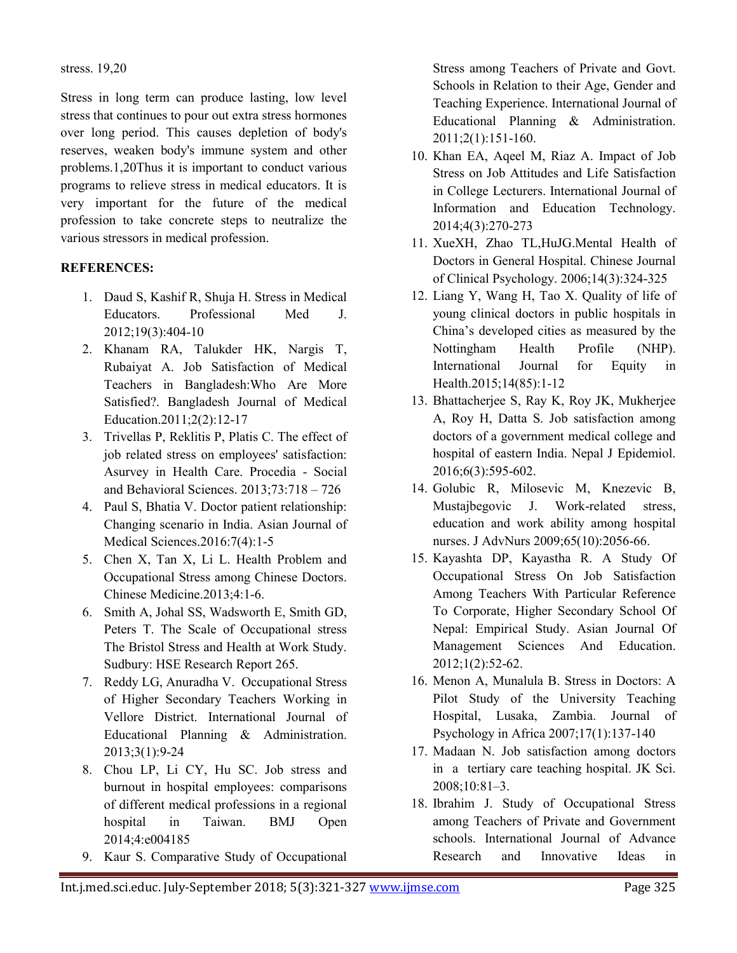stress. 19,20

Stress in long term can produce lasting, low level stress that continues to pour out extra stress hormones over long period. This causes depletion of body's reserves, weaken body's immune system and other problems.1,20Thus it is important to conduct various programs to relieve stress in medical educators. It is very important for the future of the medical profession to take concrete steps to neutralize the various stressors in medical profession.

#### **REFERENCES:**

- 1. Daud S, Kashif R, Shuja H. Stress in Medical Educators. Professional Med J. 2012;19(3):404-10
- 2. Khanam RA, Talukder HK, Nargis T, Rubaiyat A. Job Satisfaction of Medical Teachers in Bangladesh:Who Are More Satisfied?. Bangladesh Journal of Medical Education.2011;2(2):12-17
- 3. Trivellas P, Reklitis P, Platis C. The effect of job related stress on employees' satisfaction: Asurvey in Health Care. Procedia - Social and Behavioral Sciences. 2013;73:718 – 726
- 4. Paul S, Bhatia V. Doctor patient relationship: Changing scenario in India. Asian Journal of Medical Sciences.2016:7(4):1-5
- 5. Chen X, Tan X, Li L. Health Problem and Occupational Stress among Chinese Doctors. Chinese Medicine.2013;4:1-6.
- 6. Smith A, Johal SS, Wadsworth E, Smith GD, Peters T. The Scale of Occupational stress The Bristol Stress and Health at Work Study. Sudbury: HSE Research Report 265.
- 7. Reddy LG, Anuradha V. Occupational Stress of Higher Secondary Teachers Working in Vellore District. International Journal of Educational Planning & Administration. 2013;3(1):9-24
- 8. Chou LP, Li CY, Hu SC. Job stress and burnout in hospital employees: comparisons of different medical professions in a regional hospital in Taiwan. BMJ Open 2014;4:e004185
- 9. Kaur S. Comparative Study of Occupational

Stress among Teachers of Private and Govt. Schools in Relation to their Age, Gender and Teaching Experience. International Journal of Educational Planning & Administration. 2011;2(1):151-160.

- 10. Khan EA, Aqeel M, Riaz A. Impact of Job Stress on Job Attitudes and Life Satisfaction in College Lecturers. International Journal of Information and Education Technology. 2014;4(3):270-273
- 11. XueXH, Zhao TL,HuJG.Mental Health of Doctors in General Hospital. Chinese Journal of Clinical Psychology. 2006;14(3):324-325
- 12. Liang Y, Wang H, Tao X. Quality of life of young clinical doctors in public hospitals in China's developed cities as measured by the Nottingham Health Profile (NHP). International Journal for Equity in Health.2015;14(85):1-12
- 13. Bhattacherjee S, Ray K, Roy JK, Mukherjee A, Roy H, Datta S. Job satisfaction among doctors of a government medical college and hospital of eastern India. Nepal J Epidemiol. 2016;6(3):595-602.
- 14. Golubic R, Milosevic M, Knezevic B, Mustajbegovic J. Work-related stress, education and work ability among hospital nurses. J AdvNurs 2009;65(10):2056-66.
- 15. Kayashta DP, Kayastha R. A Study Of Occupational Stress On Job Satisfaction Among Teachers With Particular Reference To Corporate, Higher Secondary School Of Nepal: Empirical Study. Asian Journal Of Management Sciences And Education. 2012;1(2):52-62.
- 16. Menon A, Munalula B. Stress in Doctors: A Pilot Study of the University Teaching Hospital, Lusaka, Zambia. Journal of Psychology in Africa 2007;17(1):137-140
- 17. Madaan N. Job satisfaction among doctors in a tertiary care teaching hospital. JK Sci. 2008;10:81–3.
- 18. Ibrahim J. Study of Occupational Stress among Teachers of Private and Government schools. International Journal of Advance Research and Innovative Ideas in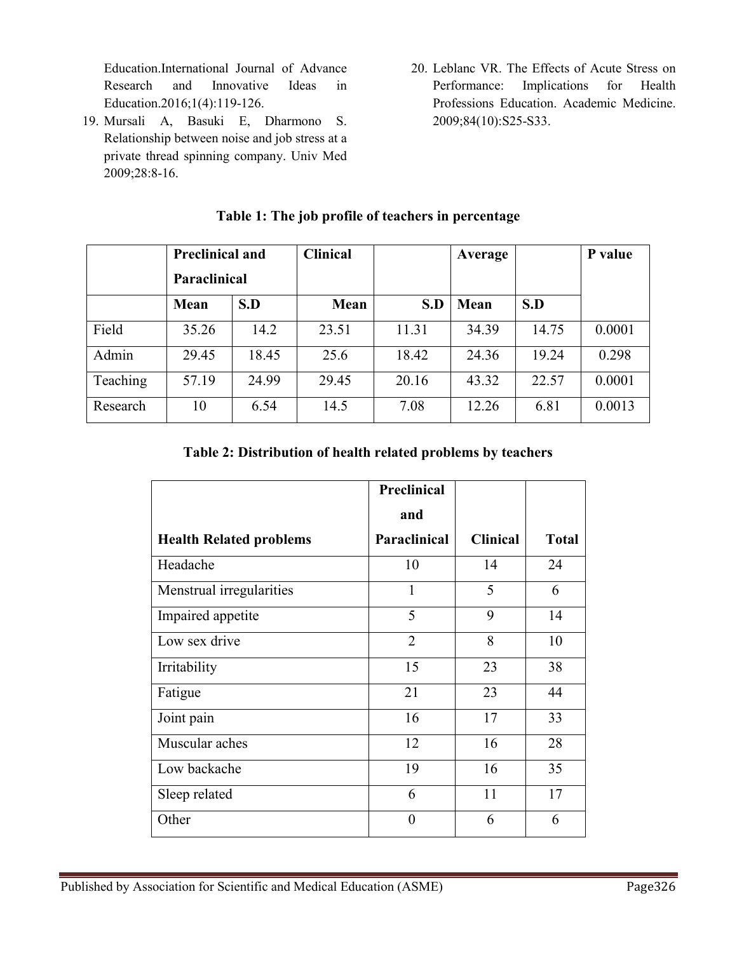Education.International Journal of Advance Research and Innovative Ideas in Education.2016;1(4):119-126.

- 19. Mursali A, Basuki E, Dharmono S. Relationship between noise and job stress at a private thread spinning company. Univ Med 2009;28:8-16.
- 20. Leblanc VR. The Effects of Acute Stress on Performance: Implications for Health Professions Education. Academic Medicine. 2009;84(10):S25-S33.

|          | <b>Preclinical and</b> |       | <b>Clinical</b> |       | Average | P value |        |
|----------|------------------------|-------|-----------------|-------|---------|---------|--------|
|          | <b>Paraclinical</b>    |       |                 |       |         |         |        |
|          | <b>Mean</b>            | S.D   | Mean            | S.D   | Mean    | S.D     |        |
| Field    | 35.26                  | 14.2  | 23.51           | 11.31 | 34.39   | 14.75   | 0.0001 |
| Admin    | 29.45                  | 18.45 | 25.6            | 18.42 | 24.36   | 19.24   | 0.298  |
| Teaching | 57.19                  | 24.99 | 29.45           | 20.16 | 43.32   | 22.57   | 0.0001 |
| Research | 10                     | 6.54  | 14.5            | 7.08  | 12.26   | 6.81    | 0.0013 |

# **Table 1: The job profile of teachers in percentage**

### **Table 2: Distribution of health related problems by teachers**

|                                | <b>Preclinical</b> |                 |              |
|--------------------------------|--------------------|-----------------|--------------|
|                                | and                |                 |              |
| <b>Health Related problems</b> | Paraclinical       | <b>Clinical</b> | <b>Total</b> |
| Headache                       | 10                 | 14              | 24           |
| Menstrual irregularities       | 1                  | 5               | 6            |
| Impaired appetite              | 5                  | 9               | 14           |
| Low sex drive                  | $\overline{2}$     | 8               | 10           |
| Irritability                   | 15                 | 23              | 38           |
| Fatigue                        | 21                 | 23              | 44           |
| Joint pain                     | 16                 | 17              | 33           |
| Muscular aches                 | 12                 | 16              | 28           |
| Low backache                   | 19                 | 16              | 35           |
| Sleep related                  | 6                  | 11              | 17           |
| Other                          | $\theta$           | 6               | 6            |